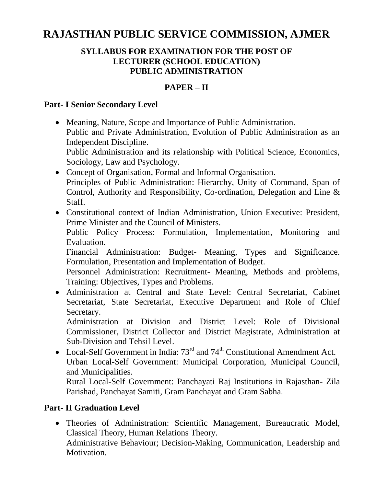# **RAJASTHAN PUBLIC SERVICE COMMISSION, AJMER**

#### **SYLLABUS FOR EXAMINATION FOR THE POST OF LECTURER (SCHOOL EDUCATION) PUBLIC ADMINISTRATION**

### **PAPER – II**

#### **Part- I Senior Secondary Level**

- Meaning, Nature, Scope and Importance of Public Administration. Public and Private Administration, Evolution of Public Administration as an Independent Discipline. Public Administration and its relationship with Political Science, Economics, Sociology, Law and Psychology.
- Concept of Organisation, Formal and Informal Organisation. Principles of Public Administration: Hierarchy, Unity of Command, Span of Control, Authority and Responsibility, Co-ordination, Delegation and Line & Staff.
- Constitutional context of Indian Administration, Union Executive: President, Prime Minister and the Council of Ministers.

Public Policy Process: Formulation, Implementation, Monitoring and Evaluation.

Financial Administration: Budget- Meaning, Types and Significance. Formulation, Presentation and Implementation of Budget.

Personnel Administration: Recruitment- Meaning, Methods and problems, Training: Objectives, Types and Problems.

 Administration at Central and State Level: Central Secretariat, Cabinet Secretariat, State Secretariat, Executive Department and Role of Chief Secretary.

Administration at Division and District Level: Role of Divisional Commissioner, District Collector and District Magistrate, Administration at Sub-Division and Tehsil Level.

• Local-Self Government in India:  $73<sup>rd</sup>$  and  $74<sup>th</sup>$  Constitutional Amendment Act. Urban Local-Self Government: Municipal Corporation, Municipal Council, and Municipalities.

Rural Local-Self Government: Panchayati Raj Institutions in Rajasthan- Zila Parishad, Panchayat Samiti, Gram Panchayat and Gram Sabha.

## **Part- II Graduation Level**

 Theories of Administration: Scientific Management, Bureaucratic Model, Classical Theory, Human Relations Theory. Administrative Behaviour; Decision-Making, Communication, Leadership and Motivation.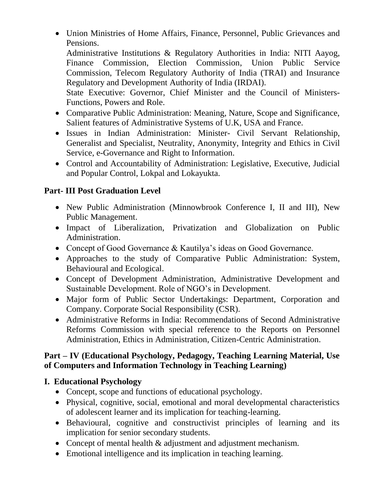Union Ministries of Home Affairs, Finance, Personnel, Public Grievances and Pensions.

Administrative Institutions & Regulatory Authorities in India: NITI Aayog, Finance Commission, Election Commission, Union Public Service Commission, Telecom Regulatory Authority of India (TRAI) and Insurance Regulatory and Development Authority of India (IRDAI).

State Executive: Governor, Chief Minister and the Council of Ministers-Functions, Powers and Role.

- Comparative Public Administration: Meaning, Nature, Scope and Significance, Salient features of Administrative Systems of U.K, USA and France.
- Issues in Indian Administration: Minister- Civil Servant Relationship, Generalist and Specialist, Neutrality, Anonymity, Integrity and Ethics in Civil Service, e-Governance and Right to Information.
- Control and Accountability of Administration: Legislative, Executive, Judicial and Popular Control, Lokpal and Lokayukta.

# **Part- III Post Graduation Level**

- New Public Administration (Minnowbrook Conference I, II and III), New Public Management.
- Impact of Liberalization, Privatization and Globalization on Public Administration.
- Concept of Good Governance & Kautilya's ideas on Good Governance.
- Approaches to the study of Comparative Public Administration: System, Behavioural and Ecological.
- Concept of Development Administration, Administrative Development and Sustainable Development. Role of NGO's in Development.
- Major form of Public Sector Undertakings: Department, Corporation and Company. Corporate Social Responsibility (CSR).
- Administrative Reforms in India: Recommendations of Second Administrative Reforms Commission with special reference to the Reports on Personnel Administration, Ethics in Administration, Citizen-Centric Administration.

#### **Part – IV (Educational Psychology, Pedagogy, Teaching Learning Material, Use of Computers and Information Technology in Teaching Learning)**

# **I. Educational Psychology**

- Concept, scope and functions of educational psychology.
- Physical, cognitive, social, emotional and moral developmental characteristics of adolescent learner and its implication for teaching-learning.
- Behavioural, cognitive and constructivist principles of learning and its implication for senior secondary students.
- Concept of mental health & adjustment and adjustment mechanism.
- Emotional intelligence and its implication in teaching learning.